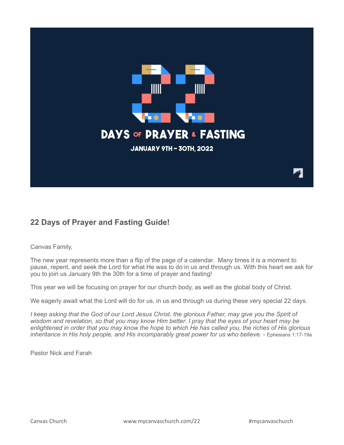

### **22 Days of Prayer and Fasting Guide!**

Canvas Family,

The new year represents more than a flip of the page of a calendar. Many times it is a moment to pause, repent, and seek the Lord for what He was to do in us and through us. With this heart we ask for you to join us January 9th the 30th for a time of prayer and fasting!

This year we will be focusing on prayer for our church body, as well as the global body of Christ.

We eagerly await what the Lord will do for us, in us and through us during these very special 22 days.

*I* keep asking that the God of our Lord Jesus Christ, the glorious Father, may give you the Spirit of *wisdom and revelation, so that you may know Him better. I pray that the eyes of your heart may be enlightened in order that you may know the hope to which He has called you, the riches of His glorious inheritance in His holy people, and His incomparably great power for us who believe.* - Ephesians 1:17-19a

Pastor Nick and Farah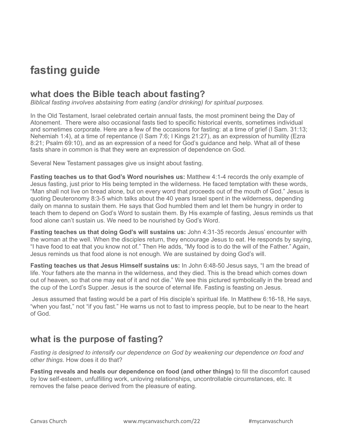# **fasting guide**

## **what does the Bible teach about fasting?**

*Biblical fasting involves abstaining from eating (and/or drinking) for spiritual purposes.* 

In the Old Testament, Israel celebrated certain annual fasts, the most prominent being the Day of Atonement. There were also occasional fasts tied to specific historical events, sometimes individual and sometimes corporate. Here are a few of the occasions for fasting: at a time of grief (I Sam. 31:13; Nehemiah 1:4), at a time of repentance (I Sam 7:6; I Kings 21:27), as an expression of humility (Ezra 8:21; Psalm 69:10), and as an expression of a need for God's guidance and help. What all of these fasts share in common is that they were an expression of dependence on God.

Several New Testament passages give us insight about fasting.

**Fasting teaches us to that God's Word nourishes us:** Matthew 4:1-4 records the only example of Jesus fasting, just prior to His being tempted in the wilderness. He faced temptation with these words, "Man shall not live on bread alone, but on every word that proceeds out of the mouth of God." Jesus is quoting Deuteronomy 8:3-5 which talks about the 40 years Israel spent in the wilderness, depending daily on manna to sustain them. He says that God humbled them and let them be hungry in order to teach them to depend on God's Word to sustain them. By His example of fasting, Jesus reminds us that food alone can't sustain us. We need to be nourished by God's Word.

**Fasting teaches us that doing God's will sustains us:** John 4:31-35 records Jesus' encounter with the woman at the well. When the disciples return, they encourage Jesus to eat. He responds by saying, "I have food to eat that you know not of." Then He adds, "My food is to do the will of the Father." Again, Jesus reminds us that food alone is not enough. We are sustained by doing God's will.

**Fasting teaches us that Jesus Himself sustains us:** In John 6:48-50 Jesus says, "I am the bread of life. Your fathers ate the manna in the wilderness, and they died. This is the bread which comes down out of heaven, so that one may eat of it and not die." We see this pictured symbolically in the bread and the cup of the Lord's Supper. Jesus is the source of eternal life. Fasting is feasting on Jesus.

 Jesus assumed that fasting would be a part of His disciple's spiritual life. In Matthew 6:16-18, He says, "when you fast," not "if you fast." He warns us not to fast to impress people, but to be near to the heart of God.

# **what is the purpose of fasting?**

*Fasting is designed to intensify our dependence on God by weakening our dependence on food and other things.* How does it do that?

**Fasting reveals and heals our dependence on food (and other things)** to fill the discomfort caused by low self-esteem, unfulfilling work, unloving relationships, uncontrollable circumstances, etc. It removes the false peace derived from the pleasure of eating.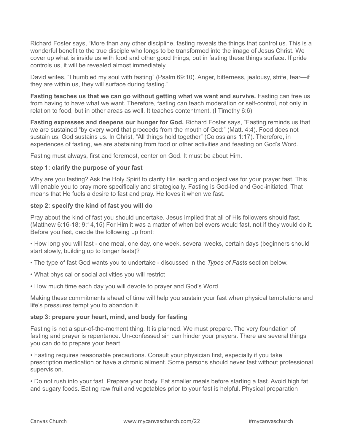Richard Foster says, "More than any other discipline, fasting reveals the things that control us. This is a wonderful benefit to the true disciple who longs to be transformed into the image of Jesus Christ. We cover up what is inside us with food and other good things, but in fasting these things surface. If pride controls us, it will be revealed almost immediately.

David writes, "I humbled my soul with fasting" (Psalm 69:10). Anger, bitterness, jealousy, strife, fear—if they are within us, they will surface during fasting."

**Fasting teaches us that we can go without getting what we want and survive.** Fasting can free us from having to have what we want. Therefore, fasting can teach moderation or self-control, not only in relation to food, but in other areas as well. It teaches contentment. (I Timothy 6:6)

**Fasting expresses and deepens our hunger for God.** Richard Foster says, "Fasting reminds us that we are sustained "by every word that proceeds from the mouth of God:" (Matt. 4:4). Food does not sustain us; God sustains us. In Christ, "All things hold together" (Colossians 1:17). Therefore, in experiences of fasting, we are abstaining from food or other activities and feasting on God's Word.

Fasting must always, first and foremost, center on God. It must be about Him.

#### **step 1: clarify the purpose of your fast**

Why are you fasting? Ask the Holy Spirit to clarify His leading and objectives for your prayer fast. This will enable you to pray more specifically and strategically. Fasting is God-led and God-initiated. That means that He fuels a desire to fast and pray. He loves it when we fast.

#### **step 2: specify the kind of fast you will do**

Pray about the kind of fast you should undertake. Jesus implied that all of His followers should fast. (Matthew 6:16-18; 9:14,15) For Him it was a matter of when believers would fast, not if they would do it. Before you fast, decide the following up front:

• How long you will fast - one meal, one day, one week, several weeks, certain days (beginners should start slowly, building up to longer fasts)?

- The type of fast God wants you to undertake discussed in the *Types of Fasts* section below.
- What physical or social activities you will restrict
- How much time each day you will devote to prayer and God's Word

Making these commitments ahead of time will help you sustain your fast when physical temptations and life's pressures tempt you to abandon it.

#### **step 3: prepare your heart, mind, and body for fasting**

Fasting is not a spur-of-the-moment thing. It is planned. We must prepare. The very foundation of fasting and prayer is repentance. Un-confessed sin can hinder your prayers. There are several things you can do to prepare your heart

• Fasting requires reasonable precautions. Consult your physician first, especially if you take prescription medication or have a chronic ailment. Some persons should never fast without professional supervision.

• Do not rush into your fast. Prepare your body. Eat smaller meals before starting a fast. Avoid high fat and sugary foods. Eating raw fruit and vegetables prior to your fast is helpful. Physical preparation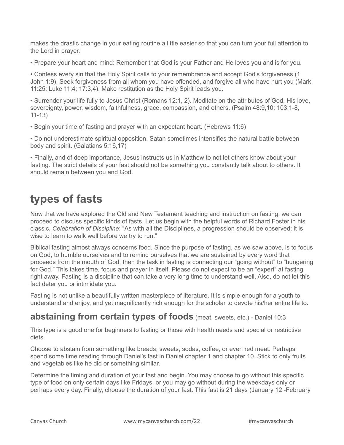makes the drastic change in your eating routine a little easier so that you can turn your full attention to the Lord in prayer.

• Prepare your heart and mind: Remember that God is your Father and He loves you and is for you.

• Confess every sin that the Holy Spirit calls to your remembrance and accept God's forgiveness (1 John 1:9). Seek forgiveness from all whom you have offended, and forgive all who have hurt you (Mark 11:25; Luke 11:4; 17:3,4). Make restitution as the Holy Spirit leads you.

• Surrender your life fully to Jesus Christ (Romans 12:1, 2). Meditate on the attributes of God, His love, sovereignty, power, wisdom, faithfulness, grace, compassion, and others. (Psalm 48:9,10; 103:1-8, 11-13)

• Begin your time of fasting and prayer with an expectant heart. (Hebrews 11:6)

• Do not underestimate spiritual opposition. Satan sometimes intensifies the natural battle between body and spirit. (Galatians 5:16,17)

• Finally, and of deep importance, Jesus instructs us in Matthew to not let others know about your fasting. The strict details of your fast should not be something you constantly talk about to others. It should remain between you and God.

# **types of fasts**

Now that we have explored the Old and New Testament teaching and instruction on fasting, we can proceed to discuss specific kinds of fasts. Let us begin with the helpful words of Richard Foster in his classic, *Celebration of Discipline*: "As with all the Disciplines, a progression should be observed; it is wise to learn to walk well before we try to run."

Biblical fasting almost always concerns food. Since the purpose of fasting, as we saw above, is to focus on God, to humble ourselves and to remind ourselves that we are sustained by every word that proceeds from the mouth of God, then the task in fasting is connecting our "going without" to "hungering for God." This takes time, focus and prayer in itself. Please do not expect to be an "expert" at fasting right away. Fasting is a discipline that can take a very long time to understand well. Also, do not let this fact deter you or intimidate you.

Fasting is not unlike a beautifully written masterpiece of literature. It is simple enough for a youth to understand and enjoy, and yet magnificently rich enough for the scholar to devote his/her entire life to.

## **abstaining from certain types of foods** (meat, sweets, etc.) - Daniel 10:3

This type is a good one for beginners to fasting or those with health needs and special or restrictive diets.

Choose to abstain from something like breads, sweets, sodas, coffee, or even red meat. Perhaps spend some time reading through Daniel's fast in Daniel chapter 1 and chapter 10. Stick to only fruits and vegetables like he did or something similar.

Determine the timing and duration of your fast and begin. You may choose to go without this specific type of food on only certain days like Fridays, or you may go without during the weekdays only or perhaps every day. Finally, choose the duration of your fast. This fast is 21 days (January 12 -February